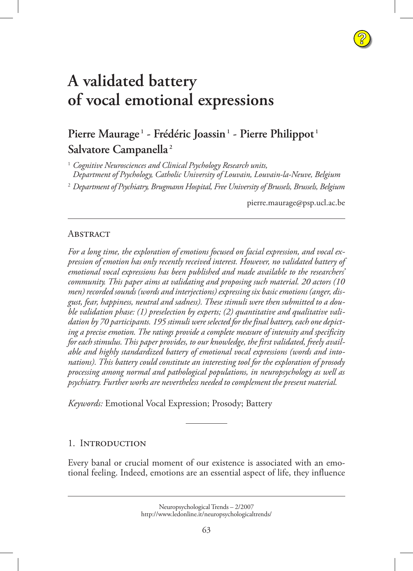# **A validated battery [of vocal emotional expressions](http://www.ledonline.it/neuropsychologicaltrends)**

# **Pierre Maurage <sup>1</sup> - Frédéric Joassin1 - Pierre Philippot <sup>1</sup> Salvatore Campanella <sup>2</sup>**

1  *Cognitive Neurosciences and Clinical Psychology Research units, Department of Psychology, Catholic University of Louvain, Louvain-la-Neuve, Belgium*

2  *Department of Psychiatry, Brugmann Hospital, Free University of Brussels, Brussels, Belgium*

[pierre.maurage@psp.ucl.ac.be](mailto:pierre.maurage@psp.ucl.ac.be)

**?**

#### **ABSTRACT**

*For a long time, the exploration of emotions focused on facial expression, and vocal expression of emotion has only recently received interest. However, no validated battery of emotional vocal expressions has been published and made available to the researchers' community. This paper aims at validating and proposing such material. 20 actors (10 men) recorded sounds (words and interjections) expressing six basic emotions (anger, disgust, fear, happiness, neutral and sadness). These stimuli were then submitted to a double validation phase: (1) preselection by experts; (2) quantitative and qualitative validation by 70 participants. 195 stimuli were selected for the final battery, each one depicting a precise emotion. The ratings provide a complete measure of intensity and specificity for each stimulus. This paper provides, to our knowledge, the first validated, freely available and highly standardized battery of emotional vocal expressions (words and intonations). This battery could constitute an interesting tool for the exploration of prosody processing among normal and pathological populations, in neuropsychology as well as psychiatry. Further works are nevertheless needed to complement the present material.*

*Keywords:* Emotional Vocal Expression; Prosody; Battery

#### 1. INTRODUCTION

Every banal or crucial moment of our existence is associated with an emotional feeling. Indeed, emotions are an essential aspect of life, they influence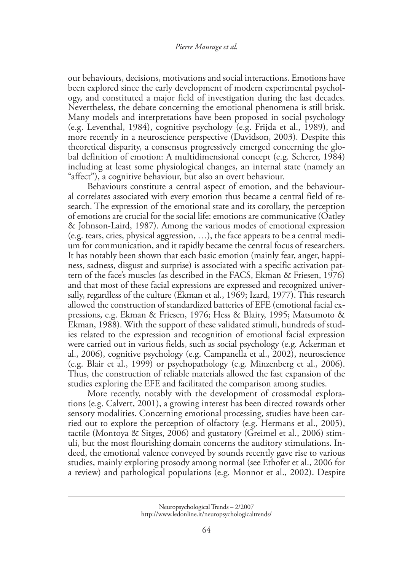our behaviours, decisions, motivations and social interactions. Emotions have been explored since the early development of modern experimental psychology, and constituted a major field of investigation during the last decades. Nevertheless, the debate concerning the emotional phenomena is still brisk. Many models and interpretations have been proposed in social psychology (e.g. Leventhal, 1984), cognitive psychology (e.g. Frijda et al., 1989), and more recently in a neuroscience perspective (Davidson, 2003). Despite this theoretical disparity, a consensus progressively emerged concerning the global definition of emotion: A multidimensional concept (e.g. Scherer, 1984) including at least some physiological changes, an internal state (namely an "affect"), a cognitive behaviour, but also an overt behaviour.

Behaviours constitute a central aspect of emotion, and the behavioural correlates associated with every emotion thus became a central field of research. The expression of the emotional state and its corollary, the perception of emotions are crucial for the social life: emotions are communicative (Oatley & Johnson-Laird, 1987). Among the various modes of emotional expression (e.g. tears, cries, physical aggression, …), the face appears to be a central medium for communication, and it rapidly became the central focus of researchers. It has notably been shown that each basic emotion (mainly fear, anger, happiness, sadness, disgust and surprise) is associated with a specific activation pattern of the face's muscles (as described in the FACS, Ekman & Friesen, 1976) and that most of these facial expressions are expressed and recognized universally, regardless of the culture (Ekman et al., 1969; Izard, 1977). This research allowed the construction of standardized batteries of EFE (emotional facial expressions, e.g. Ekman & Friesen, 1976; Hess & Blairy, 1995; Matsumoto & Ekman, 1988). With the support of these validated stimuli, hundreds of studies related to the expression and recognition of emotional facial expression were carried out in various fields, such as social psychology (e.g. Ackerman et al., 2006), cognitive psychology (e.g. Campanella et al., 2002), neuroscience (e.g. Blair et al., 1999) or psychopathology (e.g. Minzenberg et al., 2006). Thus, the construction of reliable materials allowed the fast expansion of the studies exploring the EFE and facilitated the comparison among studies.

More recently, notably with the development of crossmodal explorations (e.g. Calvert, 2001), a growing interest has been directed towards other sensory modalities. Concerning emotional processing, studies have been carried out to explore the perception of olfactory (e.g. Hermans et al., 2005), tactile (Montoya & Sitges, 2006) and gustatory (Greimel et al., 2006) stimuli, but the most flourishing domain concerns the auditory stimulations. Indeed, the emotional valence conveyed by sounds recently gave rise to various studies, mainly exploring prosody among normal (see Ethofer et al., 2006 for a review) and pathological populations (e.g. Monnot et al., 2002). Despite

Neuropsychological Trends – 2/2007 http://www.ledonline.it/neuropsychologicaltrends/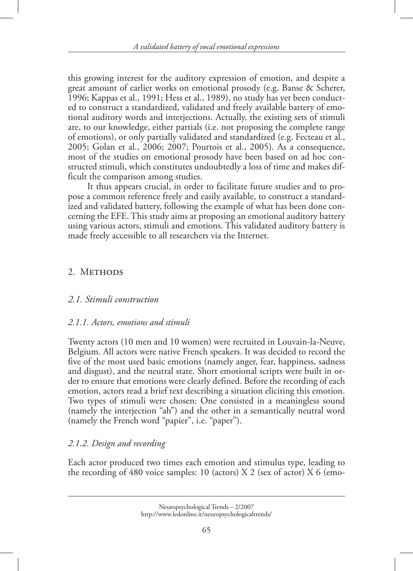this growing interest for the auditory expression of emotion, and despite a great amount of earlier works on emotional prosody (e.g. Banse & Scherer, 1996; Kappas et al., 1991; Hess et al., 1989), no study has yet been conducted to construct a standardized, validated and freely available battery of emotional auditory words and interjections. Actually, the existing sets of stimuli are, to our knowledge, either partials (i.e. not proposing the complete range of emotions), or only partially validated and standardized (e.g. Fecteau et al., 2005; Golan et al., 2006; 2007; Pourtois et al., 2005). As a consequence, most of the studies on emotional prosody have been based on ad hoc constructed stimuli, which constitutes undoubtedly a loss of time and makes difficult the comparison among studies.

It thus appears crucial, in order to facilitate future studies and to propose a common reference freely and easily available, to construct a standardized and validated battery, following the example of what has been done concerning the EFE. This study aims at proposing an emotional auditory battery using various actors, stimuli and emotions. This validated auditory battery is made freely accessible to all researchers via the Internet.

## 2. METHODS

#### *2.1. Stimuli construction*

#### *2.1.1. Actors, emotions and stimuli*

Twenty actors (10 men and 10 women) were recruited in Louvain-la-Neuve, Belgium. All actors were native French speakers. It was decided to record the five of the most used basic emotions (namely anger, fear, happiness, sadness and disgust), and the neutral state. Short emotional scripts were built in order to ensure that emotions were clearly defined. Before the recording of each emotion, actors read a brief text describing a situation eliciting this emotion. Two types of stimuli were chosen: One consisted in a meaningless sound (namely the interjection "ah") and the other in a semantically neutral word (namely the French word "papier", i.e. "paper").

# *2.1.2. Design and recording*

Each actor produced two times each emotion and stimulus type, leading to the recording of 480 voice samples: 10 (actors)  $X$  2 (sex of actor)  $X$  6 (emo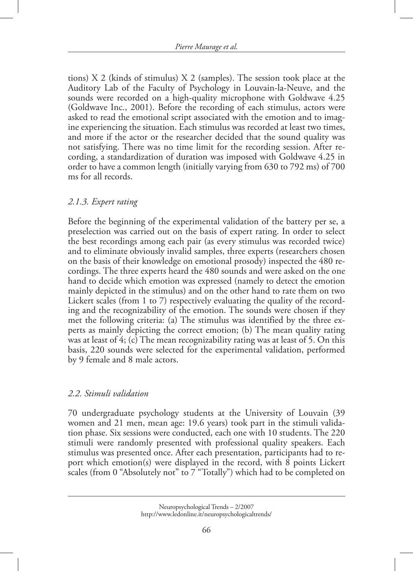tions) X 2 (kinds of stimulus) X 2 (samples). The session took place at the Auditory Lab of the Faculty of Psychology in Louvain-la-Neuve, and the sounds were recorded on a high-quality microphone with Goldwave 4.25 (Goldwave Inc., 2001). Before the recording of each stimulus, actors were asked to read the emotional script associated with the emotion and to imagine experiencing the situation. Each stimulus was recorded at least two times, and more if the actor or the researcher decided that the sound quality was not satisfying. There was no time limit for the recording session. After recording, a standardization of duration was imposed with Goldwave 4.25 in order to have a common length (initially varying from 630 to 792 ms) of 700 ms for all records.

#### *2.1.3. Expert rating*

Before the beginning of the experimental validation of the battery per se, a preselection was carried out on the basis of expert rating. In order to select the best recordings among each pair (as every stimulus was recorded twice) and to eliminate obviously invalid samples, three experts (researchers chosen on the basis of their knowledge on emotional prosody) inspected the 480 recordings. The three experts heard the 480 sounds and were asked on the one hand to decide which emotion was expressed (namely to detect the emotion mainly depicted in the stimulus) and on the other hand to rate them on two Lickert scales (from 1 to 7) respectively evaluating the quality of the recording and the recognizability of the emotion. The sounds were chosen if they met the following criteria: (a) The stimulus was identified by the three experts as mainly depicting the correct emotion; (b) The mean quality rating was at least of 4; (c) The mean recognizability rating was at least of 5. On this basis, 220 sounds were selected for the experimental validation, performed by 9 female and 8 male actors.

#### *2.2. Stimuli validation*

70 undergraduate psychology students at the University of Louvain (39 women and 21 men, mean age: 19.6 years) took part in the stimuli validation phase. Six sessions were conducted, each one with 10 students. The 220 stimuli were randomly presented with professional quality speakers. Each stimulus was presented once. After each presentation, participants had to report which emotion(s) were displayed in the record, with 8 points Lickert scales (from 0 "Absolutely not" to 7 "Totally") which had to be completed on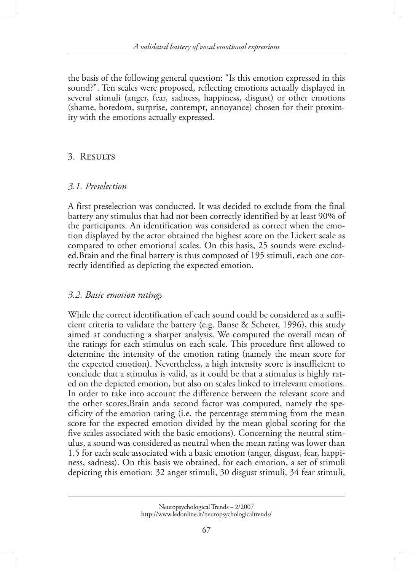the basis of the following general question: "Is this emotion expressed in this sound?". Ten scales were proposed, reflecting emotions actually displayed in several stimuli (anger, fear, sadness, happiness, disgust) or other emotions (shame, boredom, surprise, contempt, annoyance) chosen for their proximity with the emotions actually expressed.

# 3. RESULTS

## *3.1. Preselection*

A first preselection was conducted. It was decided to exclude from the final battery any stimulus that had not been correctly identified by at least 90% of the participants. An identification was considered as correct when the emotion displayed by the actor obtained the highest score on the Lickert scale as compared to other emotional scales. On this basis, 25 sounds were excluded.Brain and the final battery is thus composed of 195 stimuli, each one correctly identified as depicting the expected emotion.

#### *3.2. Basic emotion ratings*

While the correct identification of each sound could be considered as a sufficient criteria to validate the battery (e.g. Banse & Scherer, 1996), this study aimed at conducting a sharper analysis. We computed the overall mean of the ratings for each stimulus on each scale. This procedure first allowed to determine the intensity of the emotion rating (namely the mean score for the expected emotion). Nevertheless, a high intensity score is insufficient to conclude that a stimulus is valid, as it could be that a stimulus is highly rated on the depicted emotion, but also on scales linked to irrelevant emotions. In order to take into account the difference between the relevant score and the other scores,Brain anda second factor was computed, namely the specificity of the emotion rating (i.e. the percentage stemming from the mean score for the expected emotion divided by the mean global scoring for the five scales associated with the basic emotions). Concerning the neutral stimulus, a sound was considered as neutral when the mean rating was lower than 1.5 for each scale associated with a basic emotion (anger, disgust, fear, happiness, sadness). On this basis we obtained, for each emotion, a set of stimuli depicting this emotion: 32 anger stimuli, 30 disgust stimuli, 34 fear stimuli,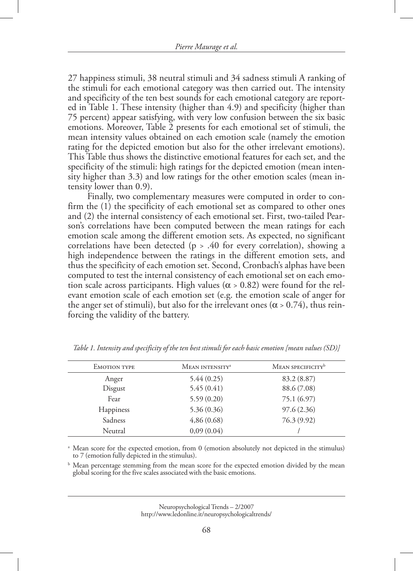27 happiness stimuli, 38 neutral stimuli and 34 sadness stimuli A ranking of the stimuli for each emotional category was then carried out. The intensity and specificity of the ten best sounds for each emotional category are reported in Table 1. These intensity (higher than 4.9) and specificity (higher than 75 percent) appear satisfying, with very low confusion between the six basic emotions. Moreover, Table 2 presents for each emotional set of stimuli, the mean intensity values obtained on each emotion scale (namely the emotion rating for the depicted emotion but also for the other irrelevant emotions). This Table thus shows the distinctive emotional features for each set, and the specificity of the stimuli: high ratings for the depicted emotion (mean intensity higher than 3.3) and low ratings for the other emotion scales (mean intensity lower than 0.9).

Finally, two complementary measures were computed in order to confirm the (1) the specificity of each emotional set as compared to other ones and (2) the internal consistency of each emotional set. First, two-tailed Pearson's correlations have been computed between the mean ratings for each emotion scale among the different emotion sets. As expected, no significant correlations have been detected (p > .40 for every correlation), showing a high independence between the ratings in the different emotion sets, and thus the specificity of each emotion set. Second, Cronbach's alphas have been computed to test the internal consistency of each emotional set on each emotion scale across participants. High values ( $\alpha > 0.82$ ) were found for the relevant emotion scale of each emotion set (e.g. the emotion scale of anger for the anger set of stimuli), but also for the irrelevant ones ( $\alpha$  > 0.74), thus reinforcing the validity of the battery.

| <b>EMOTION TYPE</b> | MEAN INTENSITY <sup>a</sup> | MEAN SPECIFICITY <sup>b</sup> |
|---------------------|-----------------------------|-------------------------------|
| Anger               | 5.44(0.25)                  | 83.2 (8.87)                   |
| Disgust             | 5.45(0.41)                  | 88.6 (7.08)                   |
| Fear                | 5.59(0.20)                  | 75.1 (6.97)                   |
| <b>Happiness</b>    | 5.36(0.36)                  | 97.6(2.36)                    |
| Sadness             | 4,86(0.68)                  | 76.3 (9.92)                   |
| Neutral             | 0,09(0.04)                  |                               |
|                     |                             |                               |

*Table 1. Intensity and specificity of the ten best stimuli for each basic emotion [mean values (SD)]*

<sup>a</sup> Mean score for the expected emotion, from 0 (emotion absolutely not depicted in the stimulus) to 7 (emotion fully depicted in the stimulus).

b Mean percentage stemming from the mean score for the expected emotion divided by the mean global scoring for the five scales associated with the basic emotions.

> Neuropsychological Trends – 2/2007 http://www.ledonline.it/neuropsychologicaltrends/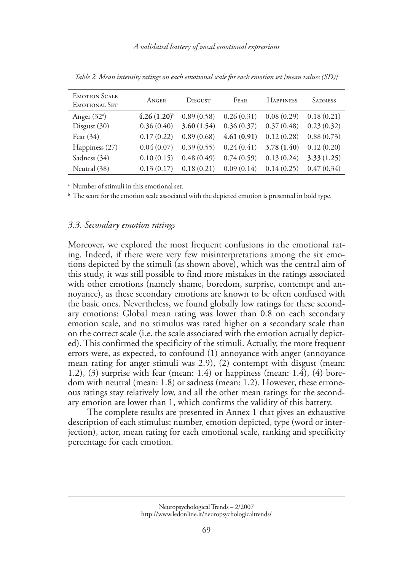| <b>EMOTION SCALE</b><br>EMOTIONAL SET | ANGER            | DISGUST    | FEAR       | <b>HAPPINESS</b> | <b>SADNESS</b> |
|---------------------------------------|------------------|------------|------------|------------------|----------------|
| Anger $(32a)$                         | $4.26(1.20)^{b}$ | 0.89(0.58) | 0.26(0.31) | 0.08(0.29)       | 0.18(0.21)     |
| Disgust $(30)$                        | 0.36(0.40)       | 3.60(1.54) | 0.36(0.37) | 0.37(0.48)       | 0.23(0.32)     |
| Fear $(34)$                           | 0.17(0.22)       | 0.89(0.68) | 4.61(0.91) | 0.12(0.28)       | 0.88(0.73)     |
| Happiness (27)                        | 0.04(0.07)       | 0.39(0.55) | 0.24(0.41) | 3.78(1.40)       | 0.12(0.20)     |
| Sadness (34)                          | 0.10(0.15)       | 0.48(0.49) | 0.74(0.59) | 0.13(0.24)       | 3.33(1.25)     |
| Neutral (38)                          | 0.13(0.17)       | 0.18(0.21) | 0.09(0.14) | 0.14(0.25)       | 0.47(0.34)     |

*Table 2. Mean intensity ratings on each emotional scale for each emotion set [mean values (SD)]*

a Number of stimuli in this emotional set.

<sup>b</sup> The score for the emotion scale associated with the depicted emotion is presented in bold type.

#### *3.3. Secondary emotion ratings*

Moreover, we explored the most frequent confusions in the emotional rating. Indeed, if there were very few misinterpretations among the six emotions depicted by the stimuli (as shown above), which was the central aim of this study, it was still possible to find more mistakes in the ratings associated with other emotions (namely shame, boredom, surprise, contempt and annoyance), as these secondary emotions are known to be often confused with the basic ones. Nevertheless, we found globally low ratings for these secondary emotions: Global mean rating was lower than 0.8 on each secondary emotion scale, and no stimulus was rated higher on a secondary scale than on the correct scale (i.e. the scale associated with the emotion actually depicted). This confirmed the specificity of the stimuli. Actually, the more frequent errors were, as expected, to confound (1) annoyance with anger (annoyance mean rating for anger stimuli was 2.9), (2) contempt with disgust (mean: 1.2), (3) surprise with fear (mean: 1.4) or happiness (mean: 1.4), (4) boredom with neutral (mean: 1.8) or sadness (mean: 1.2). However, these erroneous ratings stay relatively low, and all the other mean ratings for the secondary emotion are lower than 1, which confirms the validity of this battery.

The complete results are presented in Annex 1 that gives an exhaustive description of each stimulus: number, emotion depicted, type (word or interjection), actor, mean rating for each emotional scale, ranking and specificity percentage for each emotion.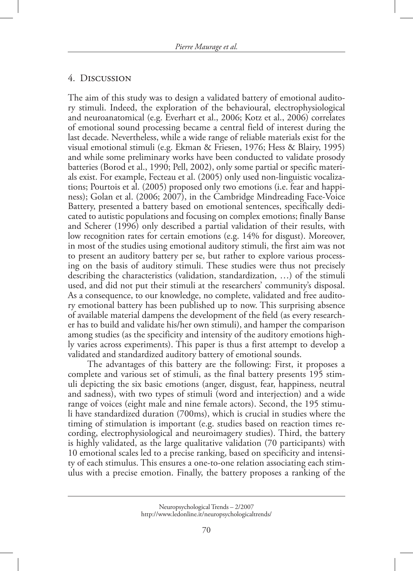#### 4. DISCUSSION

The aim of this study was to design a validated battery of emotional auditory stimuli. Indeed, the exploration of the behavioural, electrophysiological and neuroanatomical (e.g. Everhart et al., 2006; Kotz et al., 2006) correlates of emotional sound processing became a central field of interest during the last decade. Nevertheless, while a wide range of reliable materials exist for the visual emotional stimuli (e.g. Ekman & Friesen, 1976; Hess & Blairy, 1995) and while some preliminary works have been conducted to validate prosody batteries (Borod et al., 1990; Pell, 2002), only some partial or specific materials exist. For example, Fecteau et al. (2005) only used non-linguistic vocalizations; Pourtois et al. (2005) proposed only two emotions (i.e. fear and happiness); Golan et al. (2006; 2007), in the Cambridge Mindreading Face-Voice Battery, presented a battery based on emotional sentences, specifically dedicated to autistic populations and focusing on complex emotions; finally Banse and Scherer (1996) only described a partial validation of their results, with low recognition rates for certain emotions (e.g. 14% for disgust). Moreover, in most of the studies using emotional auditory stimuli, the first aim was not to present an auditory battery per se, but rather to explore various processing on the basis of auditory stimuli. These studies were thus not precisely describing the characteristics (validation, standardization, …) of the stimuli used, and did not put their stimuli at the researchers' community's disposal. As a consequence, to our knowledge, no complete, validated and free auditory emotional battery has been published up to now. This surprising absence of available material dampens the development of the field (as every researcher has to build and validate his/her own stimuli), and hamper the comparison among studies (as the specificity and intensity of the auditory emotions highly varies across experiments). This paper is thus a first attempt to develop a validated and standardized auditory battery of emotional sounds.

The advantages of this battery are the following: First, it proposes a complete and various set of stimuli, as the final battery presents 195 stimuli depicting the six basic emotions (anger, disgust, fear, happiness, neutral and sadness), with two types of stimuli (word and interjection) and a wide range of voices (eight male and nine female actors). Second, the 195 stimuli have standardized duration (700ms), which is crucial in studies where the timing of stimulation is important (e.g. studies based on reaction times recording, electrophysiological and neuroimagery studies). Third, the battery is highly validated, as the large qualitative validation (70 participants) with 10 emotional scales led to a precise ranking, based on specificity and intensity of each stimulus. This ensures a one-to-one relation associating each stimulus with a precise emotion. Finally, the battery proposes a ranking of the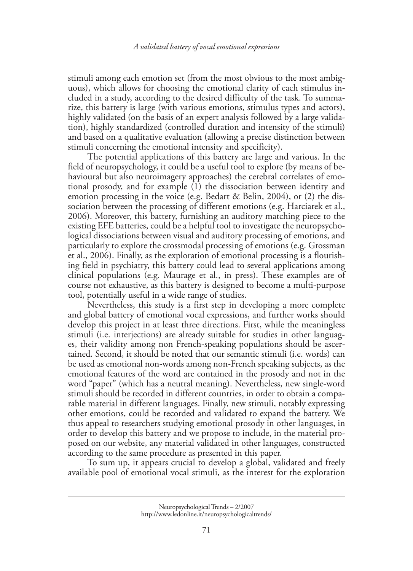stimuli among each emotion set (from the most obvious to the most ambiguous), which allows for choosing the emotional clarity of each stimulus included in a study, according to the desired difficulty of the task. To summarize, this battery is large (with various emotions, stimulus types and actors), highly validated (on the basis of an expert analysis followed by a large validation), highly standardized (controlled duration and intensity of the stimuli) and based on a qualitative evaluation (allowing a precise distinction between stimuli concerning the emotional intensity and specificity).

The potential applications of this battery are large and various. In the field of neuropsychology, it could be a useful tool to explore (by means of behavioural but also neuroimagery approaches) the cerebral correlates of emotional prosody, and for example (1) the dissociation between identity and emotion processing in the voice (e.g. Bedart & Belin, 2004), or  $(2)$  the dissociation between the processing of different emotions (e.g. Harciarek et al., 2006). Moreover, this battery, furnishing an auditory matching piece to the existing EFE batteries, could be a helpful tool to investigate the neuropsychological dissociations between visual and auditory processing of emotions, and particularly to explore the crossmodal processing of emotions (e.g. Grossman et al., 2006). Finally, as the exploration of emotional processing is a flourishing field in psychiatry, this battery could lead to several applications among clinical populations (e.g. Maurage et al., in press). These examples are of course not exhaustive, as this battery is designed to become a multi-purpose tool, potentially useful in a wide range of studies.

Nevertheless, this study is a first step in developing a more complete and global battery of emotional vocal expressions, and further works should develop this project in at least three directions. First, while the meaningless stimuli (i.e. interjections) are already suitable for studies in other languages, their validity among non French-speaking populations should be ascertained. Second, it should be noted that our semantic stimuli (i.e. words) can be used as emotional non-words among non-French speaking subjects, as the emotional features of the word are contained in the prosody and not in the word "paper" (which has a neutral meaning). Nevertheless, new single-word stimuli should be recorded in different countries, in order to obtain a comparable material in different languages. Finally, new stimuli, notably expressing other emotions, could be recorded and validated to expand the battery. We thus appeal to researchers studying emotional prosody in other languages, in order to develop this battery and we propose to include, in the material proposed on our website, any material validated in other languages, constructed according to the same procedure as presented in this paper.

To sum up, it appears crucial to develop a global, validated and freely available pool of emotional vocal stimuli, as the interest for the exploration

Neuropsychological Trends – 2/2007 http://www.ledonline.it/neuropsychologicaltrends/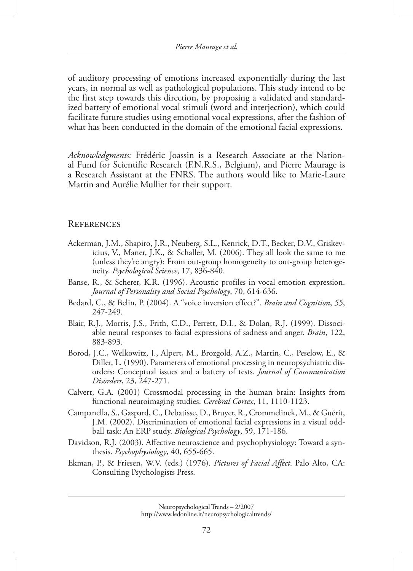of auditory processing of emotions increased exponentially during the last years, in normal as well as pathological populations. This study intend to be the first step towards this direction, by proposing a validated and standardized battery of emotional vocal stimuli (word and interjection), which could facilitate future studies using emotional vocal expressions, after the fashion of what has been conducted in the domain of the emotional facial expressions.

*Acknowledgments:* Frédéric Joassin is a Research Associate at the National Fund for Scientific Research (F.N.R.S., Belgium), and Pierre Maurage is a Research Assistant at the FNRS. The authors would like to Marie-Laure Martin and Aurélie Mullier for their support.

#### **REFERENCES**

- Ackerman, J.M., Shapiro, J.R., Neuberg, S.L., Kenrick, D.T., Becker, D.V., Griskevicius, V., Maner, J.K., & Schaller, M. (2006). They all look the same to me (unless they're angry): From out-group homogeneity to out-group heterogeneity. *Psychological Science*, 17, 836-840.
- Banse, R., & Scherer, K.R. (1996). Acoustic profiles in vocal emotion expression. *Journal of Personality and Social Psychology*, 70, 614-636.
- Bedard, C., & Belin, P. (2004). A "voice inversion effect?". *Brain and Cognition*, *55*, 247-249.
- Blair, R.J., Morris, J.S., Frith, C.D., Perrett, D.I., & Dolan, R.J. (1999). Dissociable neural responses to facial expressions of sadness and anger. *Brain*, 122, 883-893.
- Borod, J.C., Welkowitz, J., Alpert, M., Brozgold, A.Z., Martin, C., Peselow, E., & Diller, L. (1990). Parameters of emotional processing in neuropsychiatric disorders: Conceptual issues and a battery of tests. *Journal of Communication Disorders*, 23, 247-271.
- Calvert, G.A. (2001) Crossmodal processing in the human brain: Insights from functional neuroimaging studies. *Cerebral Cortex*, 11, 1110-1123.
- Campanella, S., Gaspard, C., Debatisse, D., Bruyer, R., Crommelinck, M., & Guérit, J.M. (2002). Discrimination of emotional facial expressions in a visual oddball task: An ERP study. *Biological Psychology*, 59, 171-186.
- Davidson, R.J. (2003). Affective neuroscience and psychophysiology: Toward a synthesis. *Psychophysiology*, 40, 655-665.
- Ekman, P., & Friesen, W.V. (eds.) (1976). *Pictures of Facial Affect*. Palo Alto, CA: Consulting Psychologists Press.

Neuropsychological Trends – 2/2007 http://www.ledonline.it/neuropsychologicaltrends/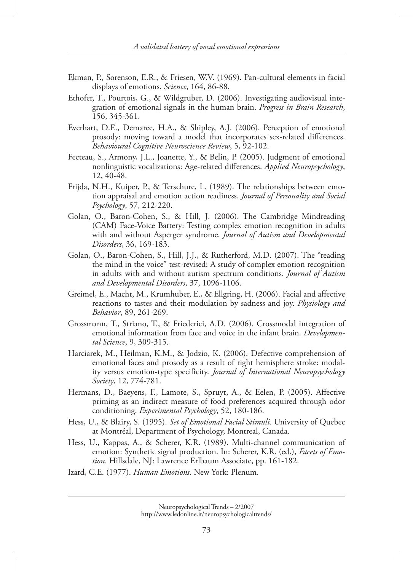- Ekman, P., Sorenson, E.R., & Friesen, W.V. (1969). Pan-cultural elements in facial displays of emotions. *Science*, 164, 86-88.
- Ethofer, T., Pourtois, G., & Wildgruber, D. (2006). Investigating audiovisual integration of emotional signals in the human brain. *Progress in Brain Research*, 156, 345-361.
- Everhart, D.E., Demaree, H.A., & Shipley, A.J. (2006). Perception of emotional prosody: moving toward a model that incorporates sex-related differences. *Behavioural Cognitive Neuroscience Review*, 5, 92-102.
- Fecteau, S., Armony, J.L., Joanette, Y., & Belin, P. (2005). Judgment of emotional nonlinguistic vocalizations: Age-related differences. *Applied Neuropsychology*, 12, 40-48.
- Frijda, N.H., Kuiper, P., & Terschure, L. (1989). The relationships between emotion appraisal and emotion action readiness. *Journal of Personality and Social Psychology*, 57, 212-220.
- Golan, O., Baron-Cohen, S., & Hill, J. (2006). The Cambridge Mindreading (CAM) Face-Voice Battery: Testing complex emotion recognition in adults with and without Asperger syndrome. *Journal of Autism and Developmental Disorders*, 36, 169-183.
- Golan, O., Baron-Cohen, S., Hill, J.J., & Rutherford, M.D. (2007). The "reading the mind in the voice" test-revised: A study of complex emotion recognition in adults with and without autism spectrum conditions. *Journal of Autism and Developmental Disorders*, 37, 1096-1106.
- Greimel, E., Macht, M., Krumhuber, E., & Ellgring, H. (2006). Facial and affective reactions to tastes and their modulation by sadness and joy. *Physiology and Behavior*, 89, 261-269.
- Grossmann, T., Striano, T., & Friederici, A.D. (2006). Crossmodal integration of emotional information from face and voice in the infant brain. *Developmental Science*, 9, 309-315.
- Harciarek, M., Heilman, K.M., & Jodzio, K. (2006). Defective comprehension of emotional faces and prosody as a result of right hemisphere stroke: modality versus emotion-type specificity. *Journal of International Neuropsychology Society*, 12, 774-781.
- Hermans, D., Baeyens, F., Lamote, S., Spruyt, A., & Eelen, P. (2005). Affective priming as an indirect measure of food preferences acquired through odor conditioning. *Experimental Psychology*, 52, 180-186.
- Hess, U., & Blairy, S. (1995). *Set of Emotional Facial Stimuli*. University of Quebec at Montréal, Department of Psychology, Montreal, Canada.
- Hess, U., Kappas, A., & Scherer, K.R. (1989). Multi-channel communication of emotion: Synthetic signal production. In: Scherer, K.R. (ed.), *Facets of Emotion*. Hillsdale, NJ: Lawrence Erlbaum Associate, pp. 161-182.
- Izard, C.E. (1977). *Human Emotions*. New York: Plenum.

Neuropsychological Trends – 2/2007 http://www.ledonline.it/neuropsychologicaltrends/